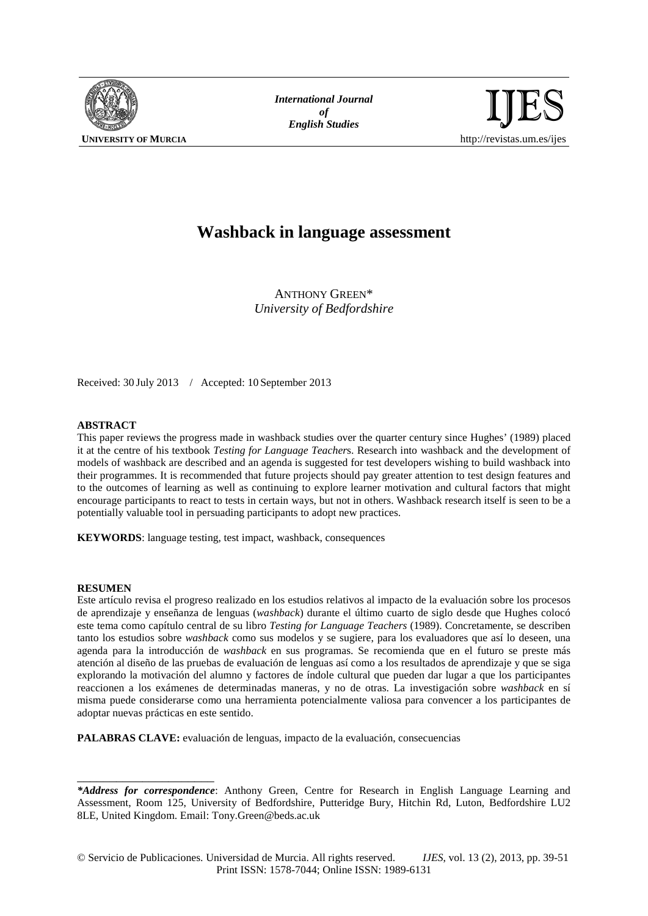

*International Journal* of<br>English Studies



# **Washback in language assessment**

ANTHONY GREEN\* *University of Bedfordshire*

Received: 30 July 2013 / Accepted: 10 September 2013

## **ABSTRACT**

This paper reviews the progress made in washback studies over the quarter century since Hughes' (1989) placed it at the centre of his textbook *Testing for Language Teacher*s. Research into washback and the development of models of washback are described and an agenda is suggested for test developers wishing to build washback into their programmes. It is recommended that future projects should pay greater attention to test design features and to the outcomes of learning as well as continuing to explore learner motivation and cultural factors that might encourage participants to react to tests in certain ways, but not in others. Washback research itself is seen to be a potentially valuable tool in persuading participants to adopt new practices.

**KEYWORDS**: language testing, test impact, washback, consequences

#### **RESUMEN**

\_\_\_\_\_\_\_\_\_\_\_\_\_\_\_\_\_\_\_\_\_

Este artículo revisa el progreso realizado en los estudios relativos al impacto de la evaluación sobre los procesos de aprendizaje y enseñanza de lenguas (*washback*) durante el último cuarto de siglo desde que Hughes colocó este tema como capítulo central de su libro *Testing for Language Teachers* (1989). Concretamente, se describen tanto los estudios sobre *washback* como sus modelos y se sugiere, para los evaluadores que así lo deseen, una agenda para la introducción de *washback* en sus programas. Se recomienda que en el futuro se preste más atención al diseño de las pruebas de evaluación de lenguas así como a los resultados de aprendizaje y que se siga explorando la motivación del alumno y factores de índole cultural que pueden dar lugar a que los participantes reaccionen a los exámenes de determinadas maneras, y no de otras. La investigación sobre *washback* en sí misma puede considerarse como una herramienta potencialmente valiosa para convencer a los participantes de adoptar nuevas prácticas en este sentido.

**PALABRAS CLAVE:** evaluación de lenguas, impacto de la evaluación, consecuencias

*<sup>\*</sup>Address for correspondence*: Anthony Green, Centre for Research in English Language Learning and Assessment, Room 125, University of Bedfordshire, Putteridge Bury, Hitchin Rd, Luton, Bedfordshire LU2 8LE, United Kingdom. Email: Tony.Green@beds.ac.uk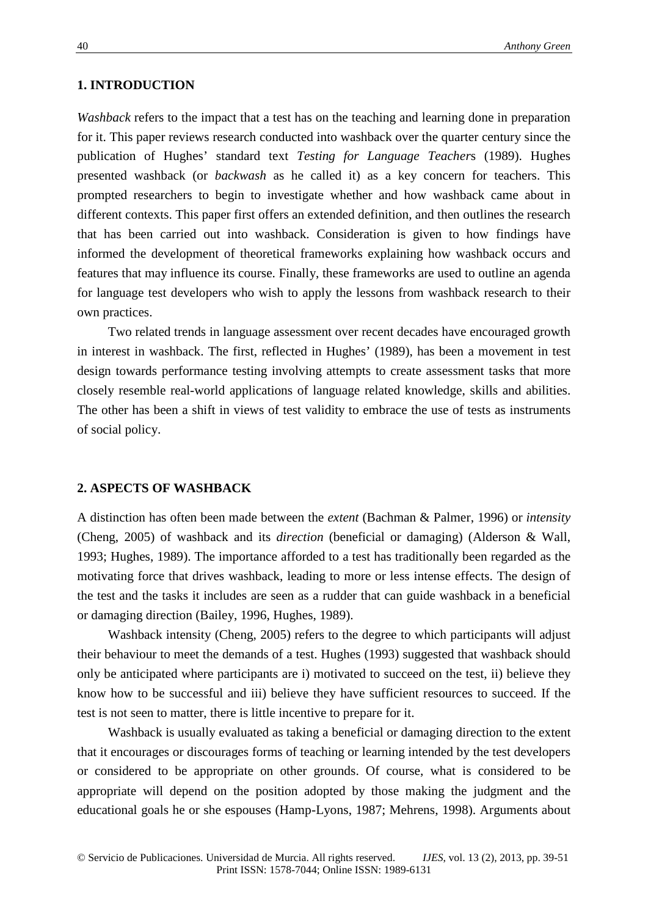# **1. INTRODUCTION**

*Washback* refers to the impact that a test has on the teaching and learning done in preparation for it. This paper reviews research conducted into washback over the quarter century since the publication of Hughes' standard text *Testing for Language Teacher*s (1989). Hughes presented washback (or *backwash* as he called it) as a key concern for teachers. This prompted researchers to begin to investigate whether and how washback came about in different contexts. This paper first offers an extended definition, and then outlines the research that has been carried out into washback. Consideration is given to how findings have informed the development of theoretical frameworks explaining how washback occurs and features that may influence its course. Finally, these frameworks are used to outline an agenda for language test developers who wish to apply the lessons from washback research to their own practices.

Two related trends in language assessment over recent decades have encouraged growth in interest in washback. The first, reflected in Hughes' (1989), has been a movement in test design towards performance testing involving attempts to create assessment tasks that more closely resemble real-world applications of language related knowledge, skills and abilities. The other has been a shift in views of test validity to embrace the use of tests as instruments of social policy.

## **2. ASPECTS OF WASHBACK**

A distinction has often been made between the *extent* (Bachman & Palmer, 1996) or *intensity* (Cheng, 2005) of washback and its *direction* (beneficial or damaging) (Alderson & Wall, 1993; Hughes, 1989). The importance afforded to a test has traditionally been regarded as the motivating force that drives washback, leading to more or less intense effects. The design of the test and the tasks it includes are seen as a rudder that can guide washback in a beneficial or damaging direction (Bailey, 1996, Hughes, 1989).

Washback intensity (Cheng, 2005) refers to the degree to which participants will adjust their behaviour to meet the demands of a test. Hughes (1993) suggested that washback should only be anticipated where participants are i) motivated to succeed on the test, ii) believe they know how to be successful and iii) believe they have sufficient resources to succeed. If the test is not seen to matter, there is little incentive to prepare for it.

Washback is usually evaluated as taking a beneficial or damaging direction to the extent that it encourages or discourages forms of teaching or learning intended by the test developers or considered to be appropriate on other grounds. Of course, what is considered to be appropriate will depend on the position adopted by those making the judgment and the educational goals he or she espouses (Hamp-Lyons, 1987; Mehrens, 1998). Arguments about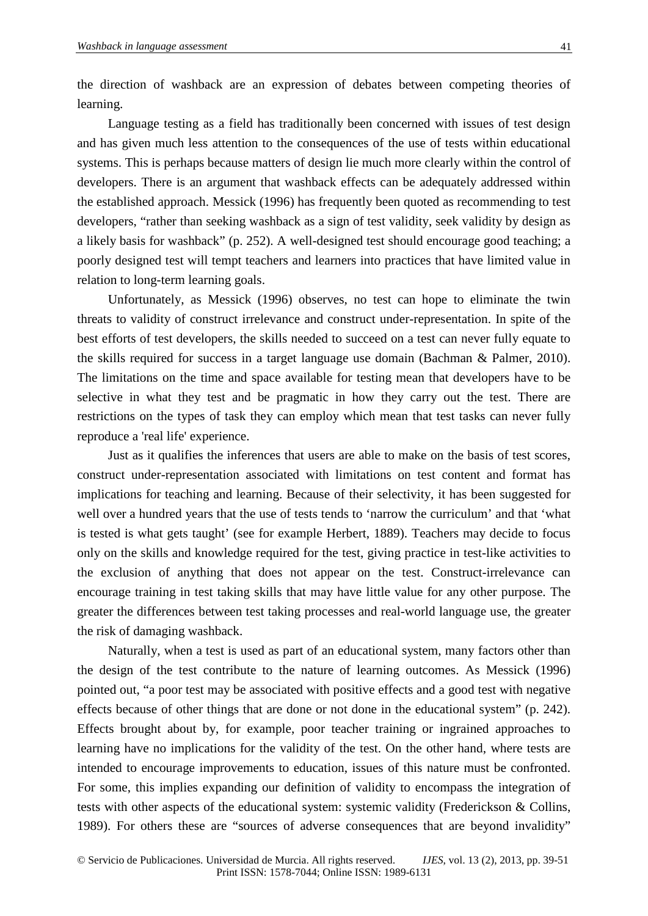the direction of washback are an expression of debates between competing theories of learning.

Language testing as a field has traditionally been concerned with issues of test design and has given much less attention to the consequences of the use of tests within educational systems. This is perhaps because matters of design lie much more clearly within the control of developers. There is an argument that washback effects can be adequately addressed within the established approach. Messick (1996) has frequently been quoted as recommending to test developers, "rather than seeking washback as a sign of test validity, seek validity by design as a likely basis for washback" (p. 252). A well-designed test should encourage good teaching; a poorly designed test will tempt teachers and learners into practices that have limited value in relation to long-term learning goals.

Unfortunately, as Messick (1996) observes, no test can hope to eliminate the twin threats to validity of construct irrelevance and construct under-representation. In spite of the best efforts of test developers, the skills needed to succeed on a test can never fully equate to the skills required for success in a target language use domain (Bachman & Palmer, 2010). The limitations on the time and space available for testing mean that developers have to be selective in what they test and be pragmatic in how they carry out the test. There are restrictions on the types of task they can employ which mean that test tasks can never fully reproduce a 'real life' experience.

Just as it qualifies the inferences that users are able to make on the basis of test scores, construct under-representation associated with limitations on test content and format has implications for teaching and learning. Because of their selectivity, it has been suggested for well over a hundred years that the use of tests tends to 'narrow the curriculum' and that 'what is tested is what gets taught' (see for example Herbert, 1889). Teachers may decide to focus only on the skills and knowledge required for the test, giving practice in test-like activities to the exclusion of anything that does not appear on the test. Construct-irrelevance can encourage training in test taking skills that may have little value for any other purpose. The greater the differences between test taking processes and real-world language use, the greater the risk of damaging washback.

Naturally, when a test is used as part of an educational system, many factors other than the design of the test contribute to the nature of learning outcomes. As Messick (1996) pointed out, "a poor test may be associated with positive effects and a good test with negative effects because of other things that are done or not done in the educational system" (p. 242). Effects brought about by, for example, poor teacher training or ingrained approaches to learning have no implications for the validity of the test. On the other hand, where tests are intended to encourage improvements to education, issues of this nature must be confronted. For some, this implies expanding our definition of validity to encompass the integration of tests with other aspects of the educational system: systemic validity (Frederickson & Collins, 1989). For others these are "sources of adverse consequences that are beyond invalidity"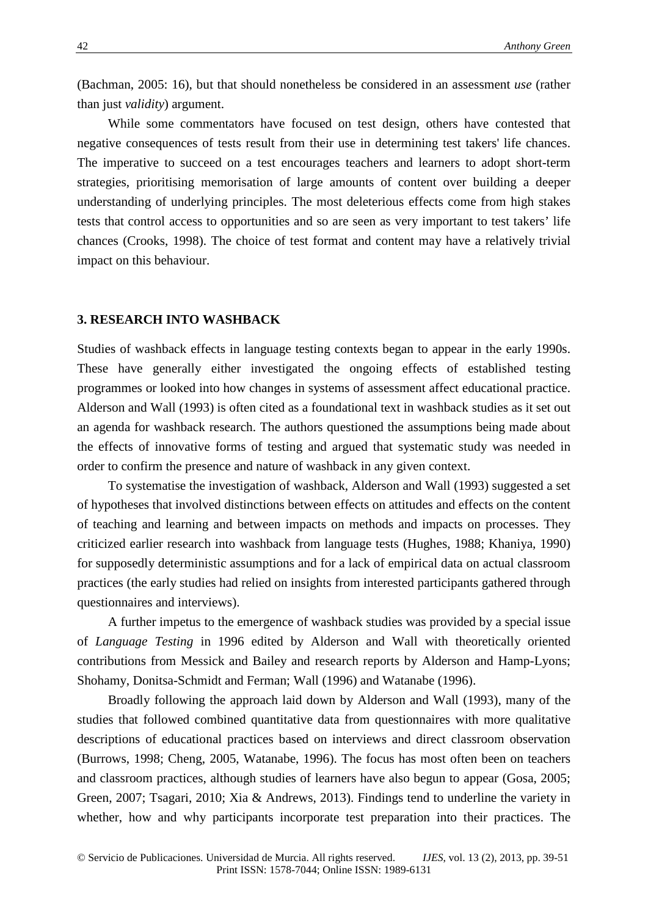(Bachman, 2005: 16), but that should nonetheless be considered in an assessment *use* (rather than just *validity*) argument.

While some commentators have focused on test design, others have contested that negative consequences of tests result from their use in determining test takers' life chances. The imperative to succeed on a test encourages teachers and learners to adopt short-term strategies, prioritising memorisation of large amounts of content over building a deeper understanding of underlying principles. The most deleterious effects come from high stakes tests that control access to opportunities and so are seen as very important to test takers' life chances (Crooks, 1998). The choice of test format and content may have a relatively trivial impact on this behaviour.

## **3. RESEARCH INTO WASHBACK**

Studies of washback effects in language testing contexts began to appear in the early 1990s. These have generally either investigated the ongoing effects of established testing programmes or looked into how changes in systems of assessment affect educational practice. Alderson and Wall (1993) is often cited as a foundational text in washback studies as it set out an agenda for washback research. The authors questioned the assumptions being made about the effects of innovative forms of testing and argued that systematic study was needed in order to confirm the presence and nature of washback in any given context.

To systematise the investigation of washback, Alderson and Wall (1993) suggested a set of hypotheses that involved distinctions between effects on attitudes and effects on the content of teaching and learning and between impacts on methods and impacts on processes. They criticized earlier research into washback from language tests (Hughes, 1988; Khaniya, 1990) for supposedly deterministic assumptions and for a lack of empirical data on actual classroom practices (the early studies had relied on insights from interested participants gathered through questionnaires and interviews).

A further impetus to the emergence of washback studies was provided by a special issue of *Language Testing* in 1996 edited by Alderson and Wall with theoretically oriented contributions from Messick and Bailey and research reports by Alderson and Hamp-Lyons; Shohamy, Donitsa-Schmidt and Ferman; Wall (1996) and Watanabe (1996).

Broadly following the approach laid down by Alderson and Wall (1993), many of the studies that followed combined quantitative data from questionnaires with more qualitative descriptions of educational practices based on interviews and direct classroom observation (Burrows, 1998; Cheng, 2005, Watanabe, 1996). The focus has most often been on teachers and classroom practices, although studies of learners have also begun to appear (Gosa, 2005; Green, 2007; Tsagari, 2010; Xia & Andrews, 2013). Findings tend to underline the variety in whether, how and why participants incorporate test preparation into their practices. The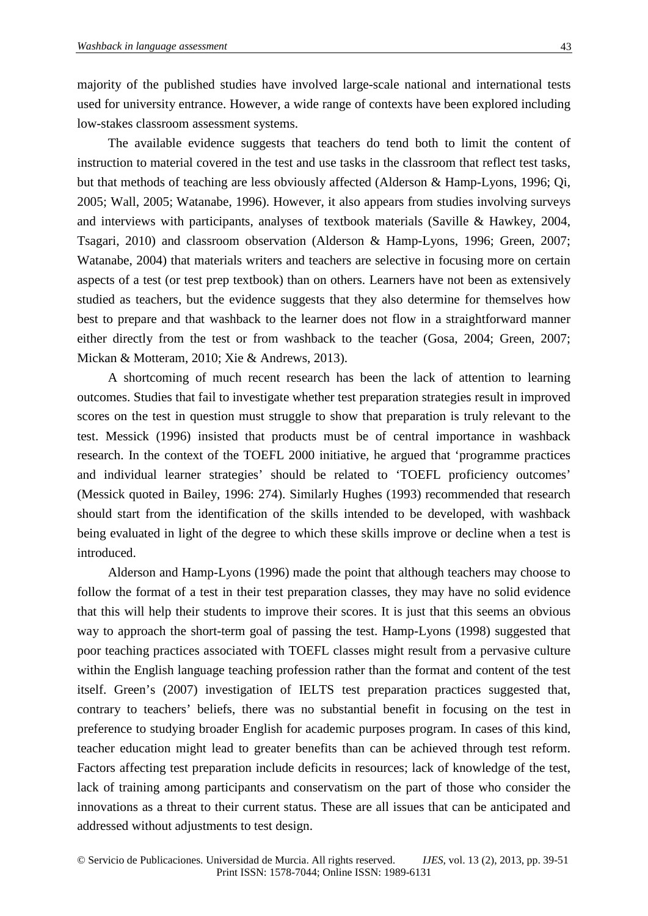majority of the published studies have involved large-scale national and international tests used for university entrance. However, a wide range of contexts have been explored including low-stakes classroom assessment systems.

The available evidence suggests that teachers do tend both to limit the content of instruction to material covered in the test and use tasks in the classroom that reflect test tasks, but that methods of teaching are less obviously affected (Alderson & Hamp-Lyons, 1996; Qi, 2005; Wall, 2005; Watanabe, 1996). However, it also appears from studies involving surveys and interviews with participants, analyses of textbook materials (Saville  $\&$  Hawkey, 2004, Tsagari, 2010) and classroom observation (Alderson & Hamp-Lyons, 1996; Green, 2007; Watanabe, 2004) that materials writers and teachers are selective in focusing more on certain aspects of a test (or test prep textbook) than on others. Learners have not been as extensively studied as teachers, but the evidence suggests that they also determine for themselves how best to prepare and that washback to the learner does not flow in a straightforward manner either directly from the test or from washback to the teacher (Gosa, 2004; Green, 2007; Mickan & Motteram, 2010; Xie & Andrews, 2013).

A shortcoming of much recent research has been the lack of attention to learning outcomes. Studies that fail to investigate whether test preparation strategies result in improved scores on the test in question must struggle to show that preparation is truly relevant to the test. Messick (1996) insisted that products must be of central importance in washback research. In the context of the TOEFL 2000 initiative, he argued that 'programme practices and individual learner strategies' should be related to 'TOEFL proficiency outcomes' (Messick quoted in Bailey, 1996: 274). Similarly Hughes (1993) recommended that research should start from the identification of the skills intended to be developed, with washback being evaluated in light of the degree to which these skills improve or decline when a test is introduced.

Alderson and Hamp-Lyons (1996) made the point that although teachers may choose to follow the format of a test in their test preparation classes, they may have no solid evidence that this will help their students to improve their scores. It is just that this seems an obvious way to approach the short-term goal of passing the test. Hamp-Lyons (1998) suggested that poor teaching practices associated with TOEFL classes might result from a pervasive culture within the English language teaching profession rather than the format and content of the test itself. Green's (2007) investigation of IELTS test preparation practices suggested that, contrary to teachers' beliefs, there was no substantial benefit in focusing on the test in preference to studying broader English for academic purposes program. In cases of this kind, teacher education might lead to greater benefits than can be achieved through test reform. Factors affecting test preparation include deficits in resources; lack of knowledge of the test, lack of training among participants and conservatism on the part of those who consider the innovations as a threat to their current status. These are all issues that can be anticipated and addressed without adjustments to test design.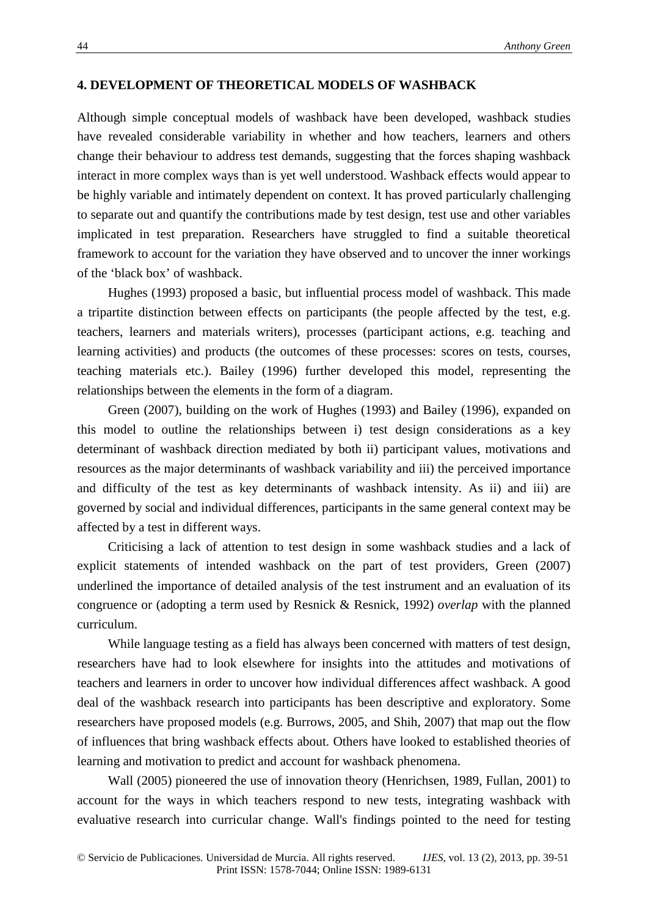# **4. DEVELOPMENT OF THEORETICAL MODELS OF WASHBACK**

Although simple conceptual models of washback have been developed, washback studies have revealed considerable variability in whether and how teachers, learners and others change their behaviour to address test demands, suggesting that the forces shaping washback interact in more complex ways than is yet well understood. Washback effects would appear to be highly variable and intimately dependent on context. It has proved particularly challenging to separate out and quantify the contributions made by test design, test use and other variables implicated in test preparation. Researchers have struggled to find a suitable theoretical framework to account for the variation they have observed and to uncover the inner workings of the 'black box' of washback.

Hughes (1993) proposed a basic, but influential process model of washback. This made a tripartite distinction between effects on participants (the people affected by the test, e.g. teachers, learners and materials writers), processes (participant actions, e.g. teaching and learning activities) and products (the outcomes of these processes: scores on tests, courses, teaching materials etc.). Bailey (1996) further developed this model, representing the relationships between the elements in the form of a diagram.

Green (2007), building on the work of Hughes (1993) and Bailey (1996), expanded on this model to outline the relationships between i) test design considerations as a key determinant of washback direction mediated by both ii) participant values, motivations and resources as the major determinants of washback variability and iii) the perceived importance and difficulty of the test as key determinants of washback intensity. As ii) and iii) are governed by social and individual differences, participants in the same general context may be affected by a test in different ways.

Criticising a lack of attention to test design in some washback studies and a lack of explicit statements of intended washback on the part of test providers, Green (2007) underlined the importance of detailed analysis of the test instrument and an evaluation of its congruence or (adopting a term used by Resnick & Resnick, 1992) *overlap* with the planned curriculum.

While language testing as a field has always been concerned with matters of test design, researchers have had to look elsewhere for insights into the attitudes and motivations of teachers and learners in order to uncover how individual differences affect washback. A good deal of the washback research into participants has been descriptive and exploratory. Some researchers have proposed models (e.g. Burrows, 2005, and Shih, 2007) that map out the flow of influences that bring washback effects about. Others have looked to established theories of learning and motivation to predict and account for washback phenomena.

Wall (2005) pioneered the use of innovation theory (Henrichsen, 1989, Fullan, 2001) to account for the ways in which teachers respond to new tests, integrating washback with evaluative research into curricular change. Wall's findings pointed to the need for testing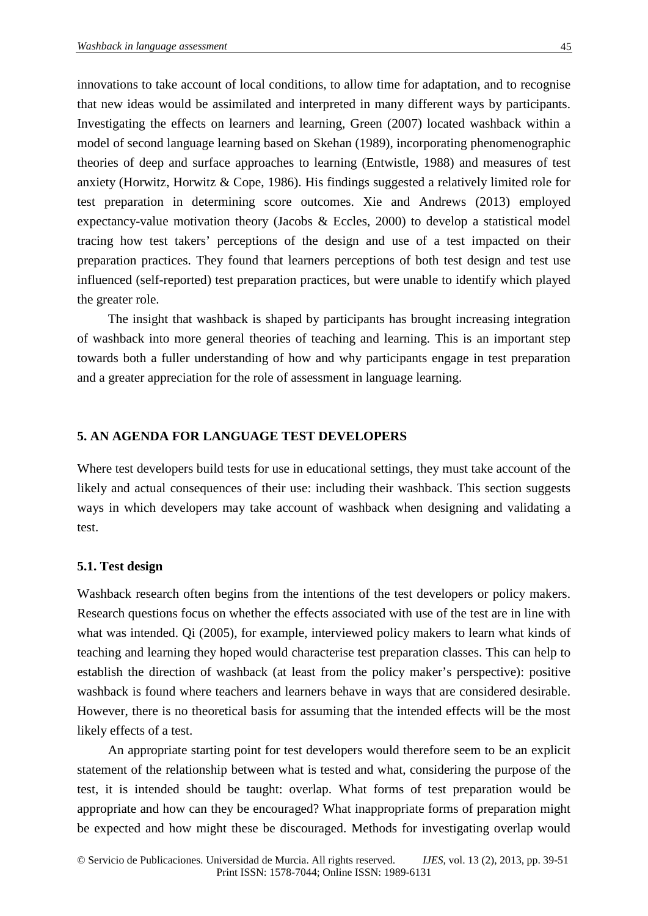innovations to take account of local conditions, to allow time for adaptation, and to recognise that new ideas would be assimilated and interpreted in many different ways by participants. Investigating the effects on learners and learning, Green (2007) located washback within a model of second language learning based on Skehan (1989), incorporating phenomenographic theories of deep and surface approaches to learning (Entwistle, 1988) and measures of test anxiety (Horwitz, Horwitz & Cope, 1986). His findings suggested a relatively limited role for test preparation in determining score outcomes. Xie and Andrews (2013) employed expectancy-value motivation theory (Jacobs & Eccles, 2000) to develop a statistical model tracing how test takers' perceptions of the design and use of a test impacted on their preparation practices. They found that learners perceptions of both test design and test use influenced (self-reported) test preparation practices, but were unable to identify which played the greater role.

The insight that washback is shaped by participants has brought increasing integration of washback into more general theories of teaching and learning. This is an important step towards both a fuller understanding of how and why participants engage in test preparation and a greater appreciation for the role of assessment in language learning.

## **5. AN AGENDA FOR LANGUAGE TEST DEVELOPERS**

Where test developers build tests for use in educational settings, they must take account of the likely and actual consequences of their use: including their washback. This section suggests ways in which developers may take account of washback when designing and validating a test.

# **5.1. Test design**

Washback research often begins from the intentions of the test developers or policy makers. Research questions focus on whether the effects associated with use of the test are in line with what was intended. Qi (2005), for example, interviewed policy makers to learn what kinds of teaching and learning they hoped would characterise test preparation classes. This can help to establish the direction of washback (at least from the policy maker's perspective): positive washback is found where teachers and learners behave in ways that are considered desirable. However, there is no theoretical basis for assuming that the intended effects will be the most likely effects of a test.

An appropriate starting point for test developers would therefore seem to be an explicit statement of the relationship between what is tested and what, considering the purpose of the test, it is intended should be taught: overlap. What forms of test preparation would be appropriate and how can they be encouraged? What inappropriate forms of preparation might be expected and how might these be discouraged. Methods for investigating overlap would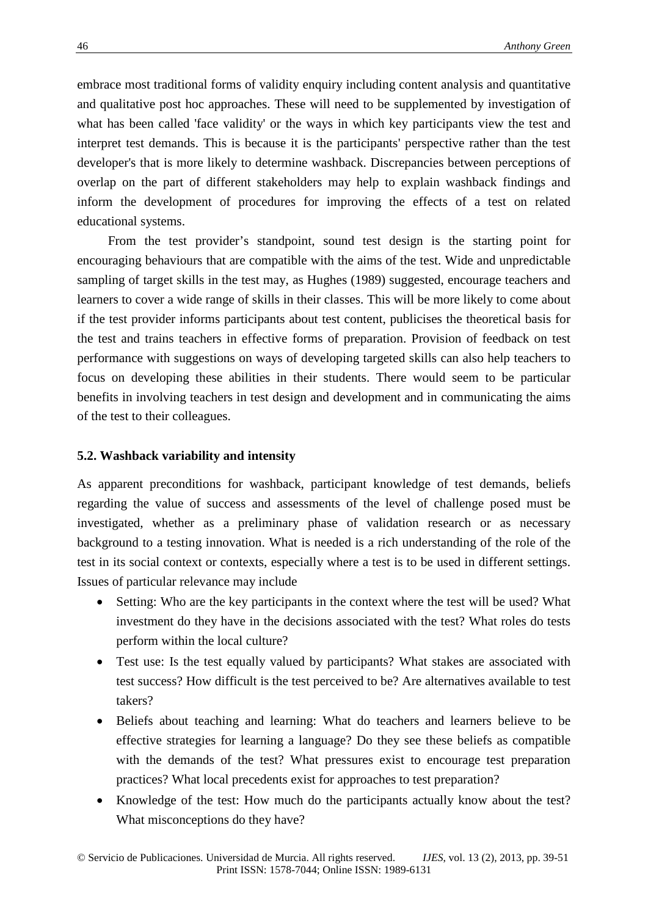embrace most traditional forms of validity enquiry including content analysis and quantitative and qualitative post hoc approaches. These will need to be supplemented by investigation of what has been called 'face validity' or the ways in which key participants view the test and interpret test demands. This is because it is the participants' perspective rather than the test developer's that is more likely to determine washback. Discrepancies between perceptions of overlap on the part of different stakeholders may help to explain washback findings and inform the development of procedures for improving the effects of a test on related educational systems.

From the test provider's standpoint, sound test design is the starting point for encouraging behaviours that are compatible with the aims of the test. Wide and unpredictable sampling of target skills in the test may, as Hughes (1989) suggested, encourage teachers and learners to cover a wide range of skills in their classes. This will be more likely to come about if the test provider informs participants about test content, publicises the theoretical basis for the test and trains teachers in effective forms of preparation. Provision of feedback on test performance with suggestions on ways of developing targeted skills can also help teachers to focus on developing these abilities in their students. There would seem to be particular benefits in involving teachers in test design and development and in communicating the aims of the test to their colleagues.

# **5.2. Washback variability and intensity**

As apparent preconditions for washback, participant knowledge of test demands, beliefs regarding the value of success and assessments of the level of challenge posed must be investigated, whether as a preliminary phase of validation research or as necessary background to a testing innovation. What is needed is a rich understanding of the role of the test in its social context or contexts, especially where a test is to be used in different settings. Issues of particular relevance may include

- Setting: Who are the key participants in the context where the test will be used? What investment do they have in the decisions associated with the test? What roles do tests perform within the local culture?
- Test use: Is the test equally valued by participants? What stakes are associated with test success? How difficult is the test perceived to be? Are alternatives available to test takers?
- Beliefs about teaching and learning: What do teachers and learners believe to be effective strategies for learning a language? Do they see these beliefs as compatible with the demands of the test? What pressures exist to encourage test preparation practices? What local precedents exist for approaches to test preparation?
- Knowledge of the test: How much do the participants actually know about the test? What misconceptions do they have?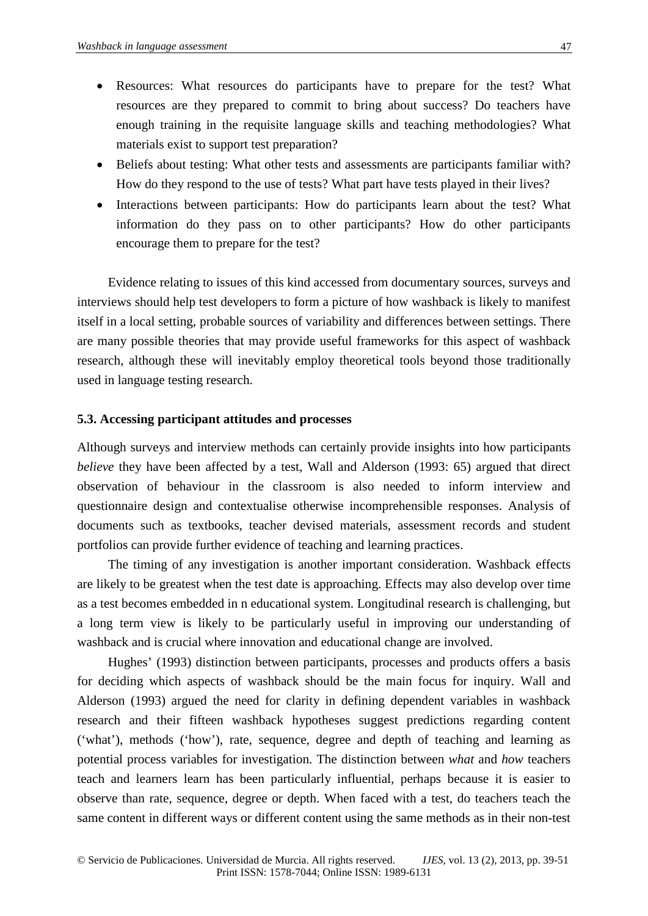- Resources: What resources do participants have to prepare for the test? What resources are they prepared to commit to bring about success? Do teachers have enough training in the requisite language skills and teaching methodologies? What materials exist to support test preparation?
- Beliefs about testing: What other tests and assessments are participants familiar with? How do they respond to the use of tests? What part have tests played in their lives?
- Interactions between participants: How do participants learn about the test? What information do they pass on to other participants? How do other participants encourage them to prepare for the test?

Evidence relating to issues of this kind accessed from documentary sources, surveys and interviews should help test developers to form a picture of how washback is likely to manifest itself in a local setting, probable sources of variability and differences between settings. There are many possible theories that may provide useful frameworks for this aspect of washback research, although these will inevitably employ theoretical tools beyond those traditionally used in language testing research.

## **5.3. Accessing participant attitudes and processes**

Although surveys and interview methods can certainly provide insights into how participants *believe* they have been affected by a test, Wall and Alderson (1993: 65) argued that direct observation of behaviour in the classroom is also needed to inform interview and questionnaire design and contextualise otherwise incomprehensible responses. Analysis of documents such as textbooks, teacher devised materials, assessment records and student portfolios can provide further evidence of teaching and learning practices.

The timing of any investigation is another important consideration. Washback effects are likely to be greatest when the test date is approaching. Effects may also develop over time as a test becomes embedded in n educational system. Longitudinal research is challenging, but a long term view is likely to be particularly useful in improving our understanding of washback and is crucial where innovation and educational change are involved.

Hughes' (1993) distinction between participants, processes and products offers a basis for deciding which aspects of washback should be the main focus for inquiry. Wall and Alderson (1993) argued the need for clarity in defining dependent variables in washback research and their fifteen washback hypotheses suggest predictions regarding content ('what'), methods ('how'), rate, sequence, degree and depth of teaching and learning as potential process variables for investigation. The distinction between *what* and *how* teachers teach and learners learn has been particularly influential, perhaps because it is easier to observe than rate, sequence, degree or depth. When faced with a test, do teachers teach the same content in different ways or different content using the same methods as in their non-test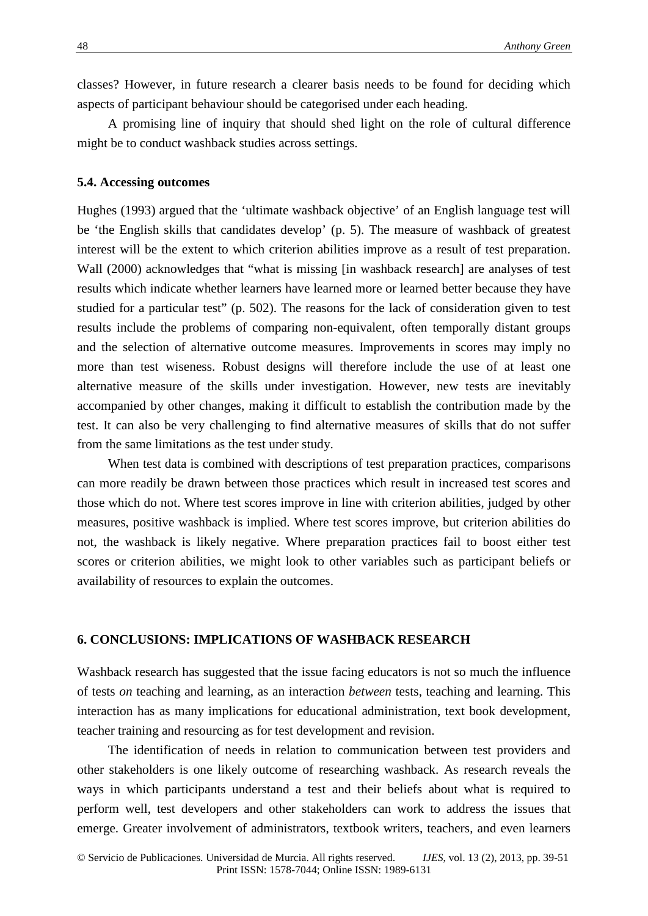classes? However, in future research a clearer basis needs to be found for deciding which aspects of participant behaviour should be categorised under each heading.

A promising line of inquiry that should shed light on the role of cultural difference might be to conduct washback studies across settings.

## **5.4. Accessing outcomes**

Hughes (1993) argued that the 'ultimate washback objective' of an English language test will be 'the English skills that candidates develop' (p. 5). The measure of washback of greatest interest will be the extent to which criterion abilities improve as a result of test preparation. Wall (2000) acknowledges that "what is missing [in washback research] are analyses of test results which indicate whether learners have learned more or learned better because they have studied for a particular test" (p. 502). The reasons for the lack of consideration given to test results include the problems of comparing non-equivalent, often temporally distant groups and the selection of alternative outcome measures. Improvements in scores may imply no more than test wiseness. Robust designs will therefore include the use of at least one alternative measure of the skills under investigation. However, new tests are inevitably accompanied by other changes, making it difficult to establish the contribution made by the test. It can also be very challenging to find alternative measures of skills that do not suffer from the same limitations as the test under study.

 When test data is combined with descriptions of test preparation practices, comparisons can more readily be drawn between those practices which result in increased test scores and those which do not. Where test scores improve in line with criterion abilities, judged by other measures, positive washback is implied. Where test scores improve, but criterion abilities do not, the washback is likely negative. Where preparation practices fail to boost either test scores or criterion abilities, we might look to other variables such as participant beliefs or availability of resources to explain the outcomes.

# **6. CONCLUSIONS: IMPLICATIONS OF WASHBACK RESEARCH**

Washback research has suggested that the issue facing educators is not so much the influence of tests *on* teaching and learning, as an interaction *between* tests, teaching and learning. This interaction has as many implications for educational administration, text book development, teacher training and resourcing as for test development and revision.

The identification of needs in relation to communication between test providers and other stakeholders is one likely outcome of researching washback. As research reveals the ways in which participants understand a test and their beliefs about what is required to perform well, test developers and other stakeholders can work to address the issues that emerge. Greater involvement of administrators, textbook writers, teachers, and even learners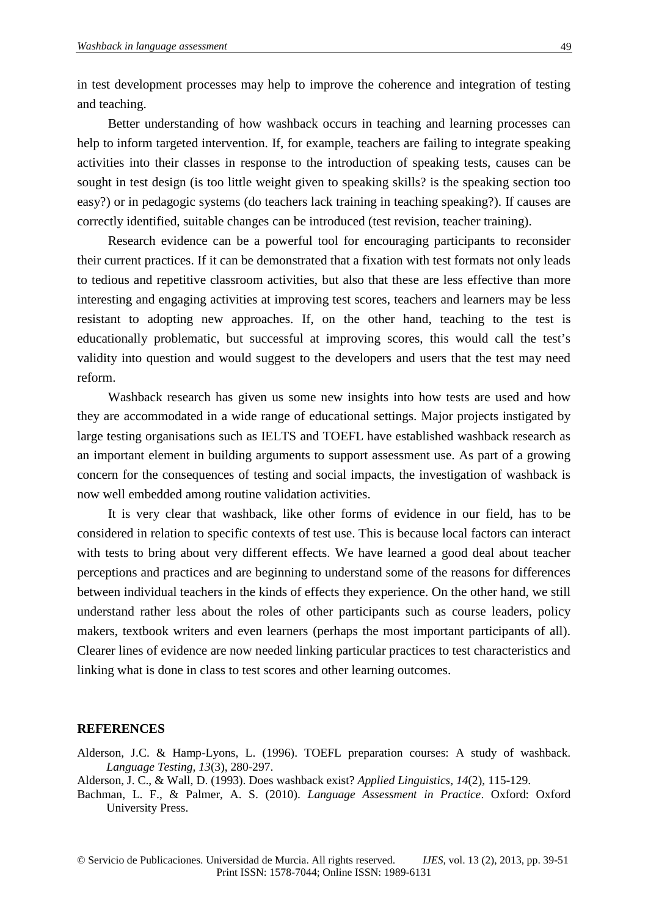in test development processes may help to improve the coherence and integration of testing and teaching.

Better understanding of how washback occurs in teaching and learning processes can help to inform targeted intervention. If, for example, teachers are failing to integrate speaking activities into their classes in response to the introduction of speaking tests, causes can be sought in test design (is too little weight given to speaking skills? is the speaking section too easy?) or in pedagogic systems (do teachers lack training in teaching speaking?). If causes are correctly identified, suitable changes can be introduced (test revision, teacher training).

Research evidence can be a powerful tool for encouraging participants to reconsider their current practices. If it can be demonstrated that a fixation with test formats not only leads to tedious and repetitive classroom activities, but also that these are less effective than more interesting and engaging activities at improving test scores, teachers and learners may be less resistant to adopting new approaches. If, on the other hand, teaching to the test is educationally problematic, but successful at improving scores, this would call the test's validity into question and would suggest to the developers and users that the test may need reform.

Washback research has given us some new insights into how tests are used and how they are accommodated in a wide range of educational settings. Major projects instigated by large testing organisations such as IELTS and TOEFL have established washback research as an important element in building arguments to support assessment use. As part of a growing concern for the consequences of testing and social impacts, the investigation of washback is now well embedded among routine validation activities.

It is very clear that washback, like other forms of evidence in our field, has to be considered in relation to specific contexts of test use. This is because local factors can interact with tests to bring about very different effects. We have learned a good deal about teacher perceptions and practices and are beginning to understand some of the reasons for differences between individual teachers in the kinds of effects they experience. On the other hand, we still understand rather less about the roles of other participants such as course leaders, policy makers, textbook writers and even learners (perhaps the most important participants of all). Clearer lines of evidence are now needed linking particular practices to test characteristics and linking what is done in class to test scores and other learning outcomes.

#### **REFERENCES**

- Alderson, J.C. & Hamp-Lyons, L. (1996). TOEFL preparation courses: A study of washback. *Language Testing, 13*(3), 280-297.
- Alderson, J. C., & Wall, D. (1993). Does washback exist? *Applied Linguistics, 14*(2), 115-129.
- Bachman, L. F., & Palmer, A. S. (2010). *Language Assessment in Practice*. Oxford: Oxford University Press.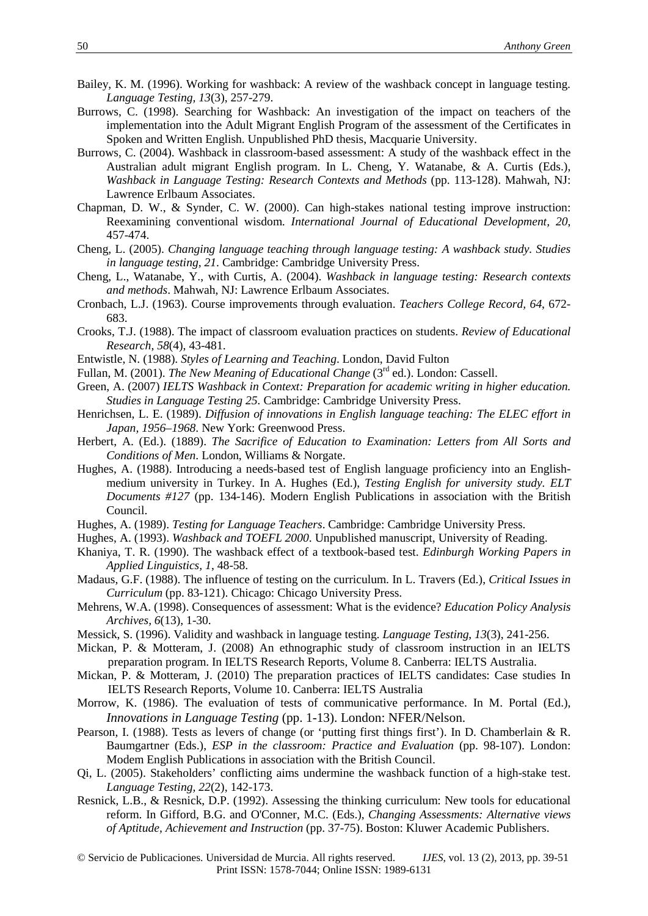- Bailey, K. M. (1996). Working for washback: A review of the washback concept in language testing. *Language Testing, 13*(3), 257-279.
- Burrows, C. (1998). Searching for Washback: An investigation of the impact on teachers of the implementation into the Adult Migrant English Program of the assessment of the Certificates in Spoken and Written English. Unpublished PhD thesis, Macquarie University.
- Burrows, C. (2004). Washback in classroom-based assessment: A study of the washback effect in the Australian adult migrant English program. In L. Cheng, Y. Watanabe, & A. Curtis (Eds.), *Washback in Language Testing: Research Contexts and Methods* (pp. 113-128). Mahwah, NJ: Lawrence Erlbaum Associates.
- Chapman, D. W., & Synder, C. W. (2000). Can high-stakes national testing improve instruction: Reexamining conventional wisdom. *International Journal of Educational Development, 20*, 457-474.
- Cheng, L. (2005). *Changing language teaching through language testing: A washback study. Studies in language testing, 21*. Cambridge: Cambridge University Press.
- Cheng, L., Watanabe, Y., with Curtis, A. (2004). *Washback in language testing: Research contexts and methods*. Mahwah, NJ: Lawrence Erlbaum Associates.
- Cronbach, L.J. (1963). Course improvements through evaluation. *Teachers College Record, 64*, 672- 683.
- Crooks, T.J. (1988). The impact of classroom evaluation practices on students. *Review of Educational Research*, *58*(4), 43-481.
- Entwistle, N. (1988). *Styles of Learning and Teaching*. London, David Fulton
- Fullan, M. (2001). *The New Meaning of Educational Change* (3<sup>rd</sup> ed.). London: Cassell.
- Green, A. (2007) *IELTS Washback in Context: Preparation for academic writing in higher education. Studies in Language Testing 25.* Cambridge: Cambridge University Press.
- Henrichsen, L. E. (1989). *Diffusion of innovations in English language teaching: The ELEC effort in Japan, 1956–1968*. New York: Greenwood Press.
- Herbert, A. (Ed.). (1889). *The Sacrifice of Education to Examination: Letters from All Sorts and Conditions of Men*. London, Williams & Norgate.
- Hughes, A. (1988). Introducing a needs-based test of English language proficiency into an Englishmedium university in Turkey. In A. Hughes (Ed.), *Testing English for university study. ELT Documents #127* (pp. 134-146). Modern English Publications in association with the British Council.
- Hughes, A. (1989). *Testing for Language Teachers*. Cambridge: Cambridge University Press.
- Hughes, A. (1993). *Washback and TOEFL 2000*. Unpublished manuscript, University of Reading.
- Khaniya, T. R. (1990). The washback effect of a textbook-based test. *Edinburgh Working Papers in Applied Linguistics, 1*, 48-58.
- Madaus, G.F. (1988). The influence of testing on the curriculum. In L. Travers (Ed.), *Critical Issues in Curriculum* (pp. 83-121). Chicago: Chicago University Press.
- Mehrens, W.A. (1998). Consequences of assessment: What is the evidence? *Education Policy Analysis Archives, 6*(13), 1-30.
- Messick, S. (1996). Validity and washback in language testing. *Language Testing*, *13*(3), 241-256.
- Mickan, P. & Motteram, J. (2008) An ethnographic study of classroom instruction in an IELTS preparation program. In IELTS Research Reports, Volume 8. Canberra: IELTS Australia.
- Mickan, P. & Motteram, J. (2010) The preparation practices of IELTS candidates: Case studies In IELTS Research Reports, Volume 10. Canberra: IELTS Australia
- Morrow, K. (1986). The evaluation of tests of communicative performance. In M. Portal (Ed.), *Innovations in Language Testing* (pp. 1-13). London: NFER/Nelson.
- Pearson, I. (1988). Tests as levers of change (or 'putting first things first'). In D. Chamberlain & R. Baumgartner (Eds.), *ESP in the classroom: Practice and Evaluation* (pp. 98-107). London: Modem English Publications in association with the British Council.
- Qi, L. (2005). Stakeholders' conflicting aims undermine the washback function of a high-stake test. *Language Testing, 22*(2), 142-173.
- Resnick, L.B., & Resnick, D.P. (1992). Assessing the thinking curriculum: New tools for educational reform. In Gifford, B.G. and O'Conner, M.C. (Eds.), *Changing Assessments: Alternative views of Aptitude, Achievement and Instruction* (pp. 37-75). Boston: Kluwer Academic Publishers.